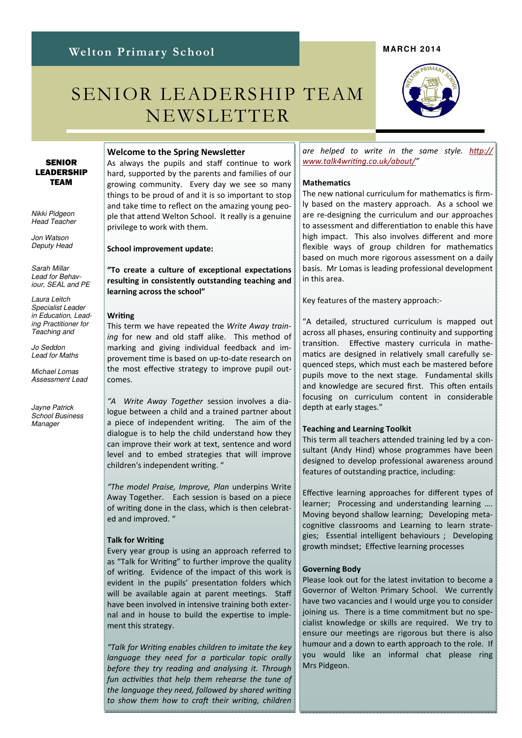# Welton Primary School

# SENIOR LEADERSHIP TEAM NEWSLETTER

#### SENIOR LEADERSHIP TEAM

Nikki Pidgeon Head Teacher

Jon Watson Deputy Head

Sarah Millar Lead for Behaviour, SEAL and PE

Laura Leitch Specialist Leader in Education, Leading Practitioner for Teaching and

Jo Seddon Lead for Maths

Michael Lomas Assessment Lead

Jayne Patrick School Business Manager

#### Welcome to the Spring Newsletter

As always the pupils and staff continue to work hard, supported by the parents and families of our growing community. Every day we see so many things to be proud of and it is so important to stop and take time to reflect on the amazing young people that attend Welton School. It really is a genuine privilege to work with them.

School improvement update:

### "To create a culture of exceptional expectations resulting in consistently outstanding teaching and learning across the school"

#### Writing

This term we have repeated the Write Away training for new and old staff alike. This method of marking and giving individual feedback and improvement time is based on up-to-date research on the most effective strategy to improve pupil outcomes.

"A Write Away Together session involves a dialogue between a child and a trained partner about a piece of independent writing. The aim of the dialogue is to help the child understand how they can improve their work at text, sentence and word level and to embed strategies that will improve children's independent writing. "

"The model Praise, Improve, Plan underpins Write Away Together. Each session is based on a piece of writing done in the class, which is then celebrated and improved. "

#### **Talk for Writing**

Every year group is using an approach referred to as "Talk for Writing" to further improve the quality of writing. Evidence of the impact of this work is evident in the pupils' presentation folders which will be available again at parent meetings. Staff have been involved in intensive training both external and in house to build the expertise to implement this strategy.

"Talk for Writing enables children to imitate the key language they need for a particular topic orally before they try reading and analysing it. Through fun activities that help them rehearse the tune of the language they need, followed by shared writing to show them how to craft their writing, children are helped to write in the same style. http:// www.talk4writing.co.uk/about/"

#### **Mathematics**

The new national curriculum for mathematics is firmly based on the mastery approach. As a school we are re-designing the curriculum and our approaches to assessment and differentiation to enable this have high impact. This also involves different and more flexible ways of group children for mathematics based on much more rigorous assessment on a daily basis. Mr Lomas is leading professional development in this area.

Key features of the mastery approach:-

"A detailed, structured curriculum is mapped out across all phases, ensuring continuity and supporting transition. Effective mastery curricula in mathematics are designed in relatively small carefully sequenced steps, which must each be mastered before pupils move to the next stage. Fundamental skills and knowledge are secured first. This often entails focusing on curriculum content in considerable depth at early stages."

#### Teaching and Learning Toolkit

This term all teachers attended training led by a consultant (Andy Hind) whose programmes have been designed to develop professional awareness around features of outstanding practice, including:

Effective learning approaches for different types of learner; Processing and understanding learning …. Moving beyond shallow learning; Developing metacognitive classrooms and Learning to learn strategies; Essential intelligent behaviours ; Developing growth mindset; Effective learning processes

#### Governing Body

Please look out for the latest invitation to become a Governor of Welton Primary School. We currently have two vacancies and I would urge you to consider joining us. There is a time commitment but no specialist knowledge or skills are required. We try to ensure our meetings are rigorous but there is also humour and a down to earth approach to the role. If you would like an informal chat please ring Mrs Pidgeon.



#### **MARCH 2014**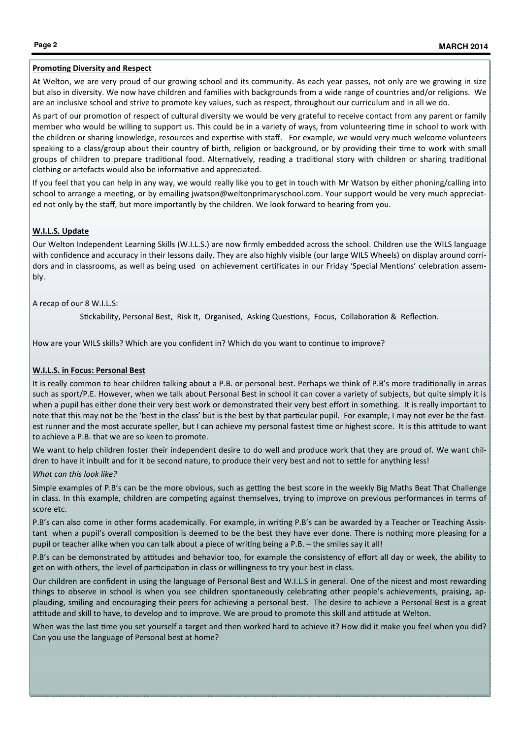#### **Promoting Diversity and Respect**

At Welton, we are very proud of our growing school and its community. As each year passes, not only are we growing in size but also in diversity. We now have children and families with backgrounds from a wide range of countries and/or religions. We are an inclusive school and strive to promote key values, such as respect, throughout our curriculum and in all we do.

As part of our promotion of respect of cultural diversity we would be very grateful to receive contact from any parent or family member who would be willing to support us. This could be in a variety of ways, from volunteering time in school to work with the children or sharing knowledge, resources and expertise with staff. For example, we would very much welcome volunteers speaking to a class/group about their country of birth, religion or background, or by providing their time to work with small groups of children to prepare traditional food. Alternatively, reading a traditional story with children or sharing traditional clothing or artefacts would also be informative and appreciated.

If you feel that you can help in any way, we would really like you to get in touch with Mr Watson by either phoning/calling into school to arrange a meeting, or by emailing jwatson@weltonprimaryschool.com. Your support would be very much appreciated not only by the staff, but more importantly by the children. We look forward to hearing from you.

#### W.I.L.S. Update

Our Welton Independent Learning Skills (W.I.L.S.) are now firmly embedded across the school. Children use the WILS language with confidence and accuracy in their lessons daily. They are also highly visible (our large WILS Wheels) on display around corridors and in classrooms, as well as being used on achievement certificates in our Friday 'Special Mentions' celebration assembly.

#### A recap of our 8 W.I.L.S:

Stickability, Personal Best, Risk It, Organised, Asking Questions, Focus, Collaboration & Reflection.

How are your WILS skills? Which are you confident in? Which do you want to continue to improve?

#### W.I.L.S. in Focus: Personal Best

It is really common to hear children talking about a P.B. or personal best. Perhaps we think of P.B's more traditionally in areas such as sport/P.E. However, when we talk about Personal Best in school it can cover a variety of subjects, but quite simply it is when a pupil has either done their very best work or demonstrated their very best effort in something. It is really important to note that this may not be the 'best in the class' but is the best by that particular pupil. For example, I may not ever be the fastest runner and the most accurate speller, but I can achieve my personal fastest time or highest score. It is this attitude to want to achieve a P.B. that we are so keen to promote.

We want to help children foster their independent desire to do well and produce work that they are proud of. We want children to have it inbuilt and for it be second nature, to produce their very best and not to settle for anything less!

#### What can this look like?

Simple examples of P.B's can be the more obvious, such as getting the best score in the weekly Big Maths Beat That Challenge in class. In this example, children are competing against themselves, trying to improve on previous performances in terms of score etc.

P.B's can also come in other forms academically. For example, in writing P.B's can be awarded by a Teacher or Teaching Assistant when a pupil's overall composition is deemed to be the best they have ever done. There is nothing more pleasing for a pupil or teacher alike when you can talk about a piece of writing being a P.B. - the smiles say it all!

P.B's can be demonstrated by attitudes and behavior too, for example the consistency of effort all day or week, the ability to get on with others, the level of participation in class or willingness to try your best in class.

Our children are confident in using the language of Personal Best and W.I.L.S in general. One of the nicest and most rewarding things to observe in school is when you see children spontaneously celebrating other people's achievements, praising, applauding, smiling and encouraging their peers for achieving a personal best. The desire to achieve a Personal Best is a great attitude and skill to have, to develop and to improve. We are proud to promote this skill and attitude at Welton.

When was the last time you set yourself a target and then worked hard to achieve it? How did it make you feel when you did? Can you use the language of Personal best at home?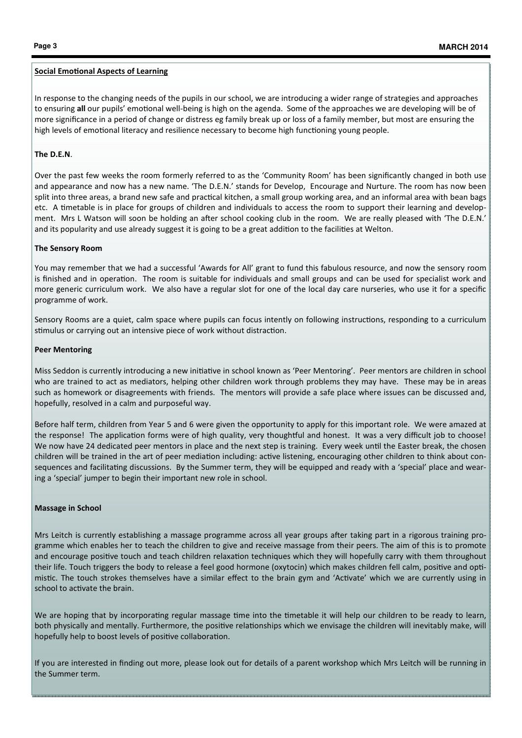#### **Social Emotional Aspects of Learning**

In response to the changing needs of the pupils in our school, we are introducing a wider range of strategies and approaches to ensuring all our pupils' emotional well-being is high on the agenda. Some of the approaches we are developing will be of more significance in a period of change or distress eg family break up or loss of a family member, but most are ensuring the high levels of emotional literacy and resilience necessary to become high functioning young people.

#### The D.E.N.

Over the past few weeks the room formerly referred to as the 'Community Room' has been significantly changed in both use and appearance and now has a new name. 'The D.E.N.' stands for Develop, Encourage and Nurture. The room has now been split into three areas, a brand new safe and practical kitchen, a small group working area, and an informal area with bean bags etc. A timetable is in place for groups of children and individuals to access the room to support their learning and development. Mrs L Watson will soon be holding an after school cooking club in the room. We are really pleased with 'The D.E.N.' and its popularity and use already suggest it is going to be a great addition to the facilities at Welton.

#### The Sensory Room

You may remember that we had a successful 'Awards for All' grant to fund this fabulous resource, and now the sensory room is finished and in operation. The room is suitable for individuals and small groups and can be used for specialist work and more generic curriculum work. We also have a regular slot for one of the local day care nurseries, who use it for a specific programme of work.

Sensory Rooms are a quiet, calm space where pupils can focus intently on following instructions, responding to a curriculum stimulus or carrying out an intensive piece of work without distraction.

#### Peer Mentoring

Miss Seddon is currently introducing a new initiative in school known as 'Peer Mentoring'. Peer mentors are children in school who are trained to act as mediators, helping other children work through problems they may have. These may be in areas such as homework or disagreements with friends. The mentors will provide a safe place where issues can be discussed and, hopefully, resolved in a calm and purposeful way.

Before half term, children from Year 5 and 6 were given the opportunity to apply for this important role. We were amazed at the response! The application forms were of high quality, very thoughtful and honest. It was a very difficult job to choose! We now have 24 dedicated peer mentors in place and the next step is training. Every week until the Easter break, the chosen children will be trained in the art of peer mediation including: active listening, encouraging other children to think about consequences and facilitating discussions. By the Summer term, they will be equipped and ready with a 'special' place and wearing a 'special' jumper to begin their important new role in school.

#### Massage in School

Mrs Leitch is currently establishing a massage programme across all year groups after taking part in a rigorous training programme which enables her to teach the children to give and receive massage from their peers. The aim of this is to promote and encourage positive touch and teach children relaxation techniques which they will hopefully carry with them throughout their life. Touch triggers the body to release a feel good hormone (oxytocin) which makes children fell calm, positive and optimistic. The touch strokes themselves have a similar effect to the brain gym and 'Activate' which we are currently using in school to activate the brain.

We are hoping that by incorporating regular massage time into the timetable it will help our children to be ready to learn, both physically and mentally. Furthermore, the positive relationships which we envisage the children will inevitably make, will hopefully help to boost levels of positive collaboration.

If you are interested in finding out more, please look out for details of a parent workshop which Mrs Leitch will be running in the Summer term.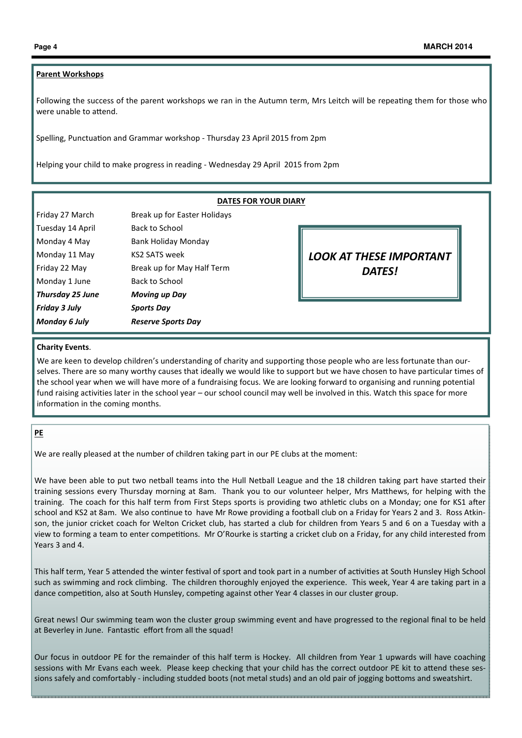### Parent Workshops

Following the success of the parent workshops we ran in the Autumn term, Mrs Leitch will be repeating them for those who were unable to attend.

Spelling, Punctuation and Grammar workshop - Thursday 23 April 2015 from 2pm

Helping your child to make progress in reading - Wednesday 29 April 2015 from 2pm

| <b>DATES FOR YOUR DIARY</b> |                              |                                |
|-----------------------------|------------------------------|--------------------------------|
| Friday 27 March             | Break up for Easter Holidays |                                |
| Tuesday 14 April            | Back to School               |                                |
| Monday 4 May                | Bank Holiday Monday          |                                |
| Monday 11 May               | <b>KS2 SATS week</b>         | <b>LOOK AT THESE IMPORTANT</b> |
| Friday 22 May               | Break up for May Half Term   | <b>DATES!</b>                  |
| Monday 1 June               | Back to School               |                                |
| Thursday 25 June            | <b>Moving up Day</b>         |                                |
| Friday 3 July               | <b>Sports Day</b>            |                                |
| Monday 6 July               | <b>Reserve Sports Day</b>    |                                |
|                             |                              |                                |

#### Charity Events.

We are keen to develop children's understanding of charity and supporting those people who are less fortunate than ourselves. There are so many worthy causes that ideally we would like to support but we have chosen to have particular times of the school year when we will have more of a fundraising focus. We are looking forward to organising and running potential fund raising activities later in the school year – our school council may well be involved in this. Watch this space for more information in the coming months.

#### PE

We are really pleased at the number of children taking part in our PE clubs at the moment:

We have been able to put two netball teams into the Hull Netball League and the 18 children taking part have started their training sessions every Thursday morning at 8am. Thank you to our volunteer helper, Mrs Matthews, for helping with the training. The coach for this half term from First Steps sports is providing two athletic clubs on a Monday; one for KS1 after school and KS2 at 8am. We also continue to have Mr Rowe providing a football club on a Friday for Years 2 and 3. Ross Atkinson, the junior cricket coach for Welton Cricket club, has started a club for children from Years 5 and 6 on a Tuesday with a view to forming a team to enter competitions. Mr O'Rourke is starting a cricket club on a Friday, for any child interested from Years 3 and 4.

This half term, Year 5 attended the winter festival of sport and took part in a number of activities at South Hunsley High School such as swimming and rock climbing. The children thoroughly enjoyed the experience. This week, Year 4 are taking part in a dance competition, also at South Hunsley, competing against other Year 4 classes in our cluster group.

Great news! Our swimming team won the cluster group swimming event and have progressed to the regional final to be held at Beverley in June. Fantastic effort from all the squad!

Our focus in outdoor PE for the remainder of this half term is Hockey. All children from Year 1 upwards will have coaching sessions with Mr Evans each week. Please keep checking that your child has the correct outdoor PE kit to attend these sessions safely and comfortably - including studded boots (not metal studs) and an old pair of jogging bottoms and sweatshirt.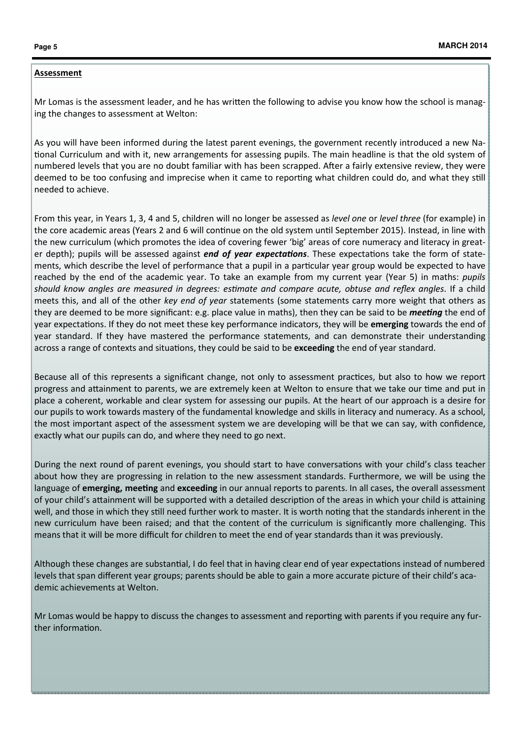# Assessment

Mr Lomas is the assessment leader, and he has written the following to advise you know how the school is managing the changes to assessment at Welton:

As you will have been informed during the latest parent evenings, the government recently introduced a new Na tional Curriculum and with it, new arrangements for assessing pupils. The main headline is that the old system of numbered levels that you are no doubt familiar with has been scrapped. After a fairly extensive review, they were deemed to be too confusing and imprecise when it came to reporting what children could do, and what they still needed to achieve.

From this year, in Years 1, 3, 4 and 5, children will no longer be assessed as level one or level three (for example) in the core academic areas (Years 2 and 6 will continue on the old system until September 2015). Instead, in line with the new curriculum (which promotes the idea of covering fewer 'big' areas of core numeracy and literacy in greater depth); pupils will be assessed against *end of year expectations*. These expectations take the form of statements, which describe the level of performance that a pupil in a particular year group would be expected to have reached by the end of the academic year. To take an example from my current year (Year 5) in maths: *pupils* should know angles are measured in degrees: estimate and compare acute, obtuse and reflex angles. If a child meets this, and all of the other key end of year statements (some statements carry more weight that others as they are deemed to be more significant: e.g. place value in maths), then they can be said to be *meeting* the end of year expectations. If they do not meet these key performance indicators, they will be emerging towards the end of year standard. If they have mastered the performance statements, and can demonstrate their understanding across a range of contexts and situations, they could be said to be exceeding the end of year standard.

Because all of this represents a significant change, not only to assessment practices, but also to how we report progress and attainment to parents, we are extremely keen at Welton to ensure that we take our time and put in place a coherent, workable and clear system for assessing our pupils. At the heart of our approach is a desire for our pupils to work towards mastery of the fundamental knowledge and skills in literacy and numeracy. As a school, the most important aspect of the assessment system we are developing will be that we can say, with confidence, exactly what our pupils can do, and where they need to go next.

During the next round of parent evenings, you should start to have conversations with your child's class teacher about how they are progressing in relation to the new assessment standards. Furthermore, we will be using the language of emerging, meeting and exceeding in our annual reports to parents. In all cases, the overall assessment of your child's attainment will be supported with a detailed description of the areas in which your child is attaining well, and those in which they still need further work to master. It is worth noting that the standards inherent in the new curriculum have been raised; and that the content of the curriculum is significantly more challenging. This means that it will be more difficult for children to meet the end of year standards than it was previously.

Although these changes are substantial, I do feel that in having clear end of year expectations instead of numbered levels that span different year groups; parents should be able to gain a more accurate picture of their child's academic achievements at Welton.

Mr Lomas would be happy to discuss the changes to assessment and reporting with parents if you require any further information.